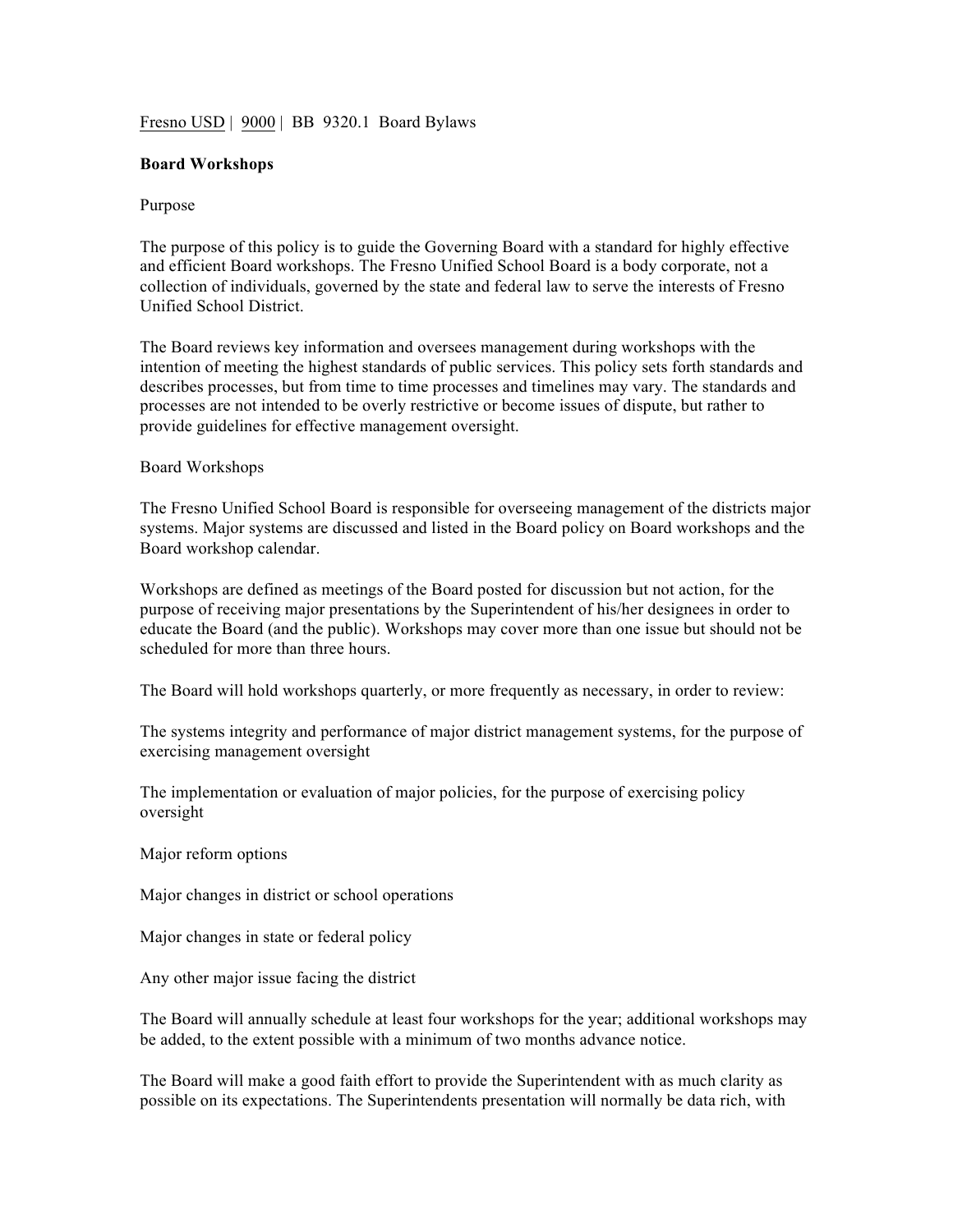## Fresno USD | 9000 | BB 9320.1 Board Bylaws

## **Board Workshops**

## Purpose

The purpose of this policy is to guide the Governing Board with a standard for highly effective and efficient Board workshops. The Fresno Unified School Board is a body corporate, not a collection of individuals, governed by the state and federal law to serve the interests of Fresno Unified School District.

The Board reviews key information and oversees management during workshops with the intention of meeting the highest standards of public services. This policy sets forth standards and describes processes, but from time to time processes and timelines may vary. The standards and processes are not intended to be overly restrictive or become issues of dispute, but rather to provide guidelines for effective management oversight.

## Board Workshops

The Fresno Unified School Board is responsible for overseeing management of the districts major systems. Major systems are discussed and listed in the Board policy on Board workshops and the Board workshop calendar.

Workshops are defined as meetings of the Board posted for discussion but not action, for the purpose of receiving major presentations by the Superintendent of his/her designees in order to educate the Board (and the public). Workshops may cover more than one issue but should not be scheduled for more than three hours.

The Board will hold workshops quarterly, or more frequently as necessary, in order to review:

The systems integrity and performance of major district management systems, for the purpose of exercising management oversight

The implementation or evaluation of major policies, for the purpose of exercising policy oversight

Major reform options

Major changes in district or school operations

Major changes in state or federal policy

Any other major issue facing the district

The Board will annually schedule at least four workshops for the year; additional workshops may be added, to the extent possible with a minimum of two months advance notice.

The Board will make a good faith effort to provide the Superintendent with as much clarity as possible on its expectations. The Superintendents presentation will normally be data rich, with